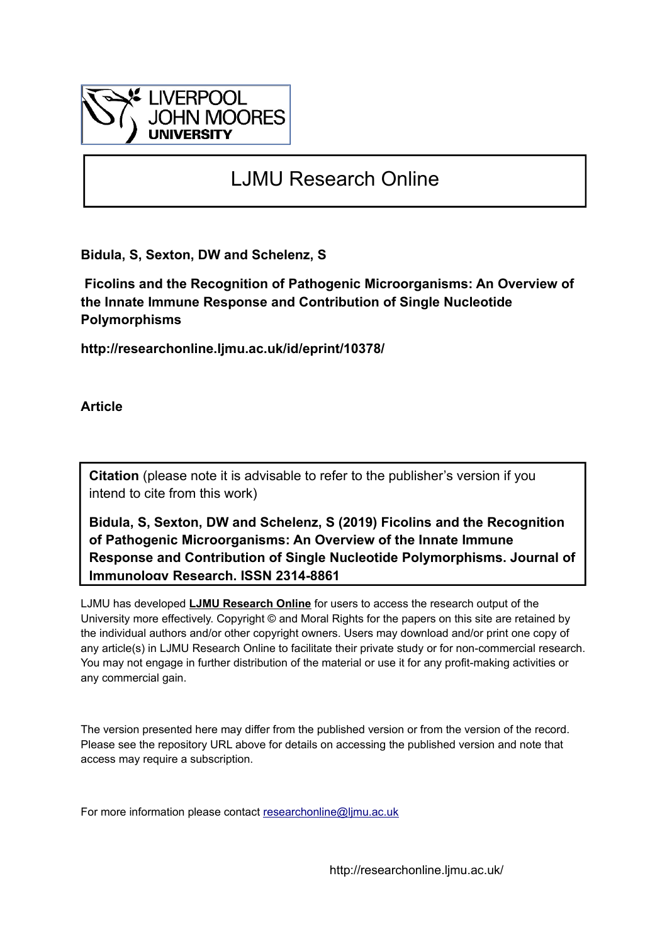

# LJMU Research Online

**Bidula, S, Sexton, DW and Schelenz, S**

 **Ficolins and the Recognition of Pathogenic Microorganisms: An Overview of the Innate Immune Response and Contribution of Single Nucleotide Polymorphisms**

**http://researchonline.ljmu.ac.uk/id/eprint/10378/**

**Article**

**Citation** (please note it is advisable to refer to the publisher's version if you intend to cite from this work)

**Bidula, S, Sexton, DW and Schelenz, S (2019) Ficolins and the Recognition of Pathogenic Microorganisms: An Overview of the Innate Immune Response and Contribution of Single Nucleotide Polymorphisms. Journal of Immunology Research. ISSN 2314-8861** 

LJMU has developed **[LJMU Research Online](http://researchonline.ljmu.ac.uk/)** for users to access the research output of the University more effectively. Copyright © and Moral Rights for the papers on this site are retained by the individual authors and/or other copyright owners. Users may download and/or print one copy of any article(s) in LJMU Research Online to facilitate their private study or for non-commercial research. You may not engage in further distribution of the material or use it for any profit-making activities or any commercial gain.

The version presented here may differ from the published version or from the version of the record. Please see the repository URL above for details on accessing the published version and note that access may require a subscription.

For more information please contact researchonline@limu.ac.uk

http://researchonline.ljmu.ac.uk/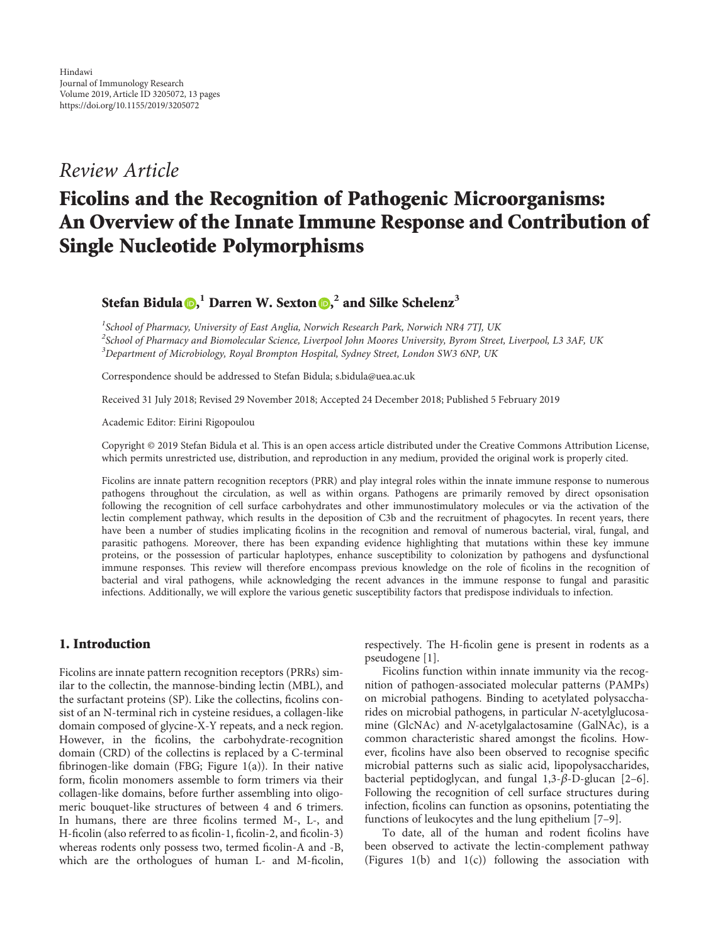## Review Article

## Ficolins and the Recognition of Pathogenic Microorganisms: An Overview of the Innate Immune Response and Contribution of Single Nucleotide Polymorphisms

Stefan Bidula **D**[,](http://orcid.org/0000-0003-3344-3150) Darren W. Sexton **D**, <sup>2</sup> and Silke Schelenz<sup>3</sup>

<sup>1</sup>School of Pharmacy, University of East Anglia, Norwich Research Park, Norwich NR4 7TJ, UK  $^2$ School of Pharmacy and Biomolecular Science, Liverpool John Moores University, Byrom Street, Liverpool, L3 3AF, UK  $^3$ Department of Microbiology, Royal Brompton Hospital, Sydney Street, London SW3 6NP, UK

Correspondence should be addressed to Stefan Bidula; s.bidula@uea.ac.uk

Received 31 July 2018; Revised 29 November 2018; Accepted 24 December 2018; Published 5 February 2019

Academic Editor: Eirini Rigopoulou

Copyright © 2019 Stefan Bidula et al. This is an open access article distributed under the [Creative Commons Attribution License](https://creativecommons.org/licenses/by/4.0/), which permits unrestricted use, distribution, and reproduction in any medium, provided the original work is properly cited.

Ficolins are innate pattern recognition receptors (PRR) and play integral roles within the innate immune response to numerous pathogens throughout the circulation, as well as within organs. Pathogens are primarily removed by direct opsonisation following the recognition of cell surface carbohydrates and other immunostimulatory molecules or via the activation of the lectin complement pathway, which results in the deposition of C3b and the recruitment of phagocytes. In recent years, there have been a number of studies implicating ficolins in the recognition and removal of numerous bacterial, viral, fungal, and parasitic pathogens. Moreover, there has been expanding evidence highlighting that mutations within these key immune proteins, or the possession of particular haplotypes, enhance susceptibility to colonization by pathogens and dysfunctional immune responses. This review will therefore encompass previous knowledge on the role of ficolins in the recognition of bacterial and viral pathogens, while acknowledging the recent advances in the immune response to fungal and parasitic infections. Additionally, we will explore the various genetic susceptibility factors that predispose individuals to infection.

#### 1. Introduction

Ficolins are innate pattern recognition receptors (PRRs) similar to the collectin, the mannose-binding lectin (MBL), and the surfactant proteins (SP). Like the collectins, ficolins consist of an N-terminal rich in cysteine residues, a collagen-like domain composed of glycine-X-Y repeats, and a neck region. However, in the ficolins, the carbohydrate-recognition domain (CRD) of the collectins is replaced by a C-terminal fibrinogen-like domain (FBG; Figure [1\(a\)](#page-2-0)). In their native form, ficolin monomers assemble to form trimers via their collagen-like domains, before further assembling into oligomeric bouquet-like structures of between 4 and 6 trimers. In humans, there are three ficolins termed M-, L-, and H-ficolin (also referred to as ficolin-1, ficolin-2, and ficolin-3) whereas rodents only possess two, termed ficolin-A and -B, which are the orthologues of human L- and M-ficolin, respectively. The H-ficolin gene is present in rodents as a pseudogene [[1\]](#page-9-0).

Ficolins function within innate immunity via the recognition of pathogen-associated molecular patterns (PAMPs) on microbial pathogens. Binding to acetylated polysaccharides on microbial pathogens, in particular N-acetylglucosamine (GlcNAc) and N-acetylgalactosamine (GalNAc), is a common characteristic shared amongst the ficolins. However, ficolins have also been observed to recognise specific microbial patterns such as sialic acid, lipopolysaccharides, bacterial peptidoglycan, and fungal 1,3-*β*-D-glucan [[2](#page-9-0)–[6](#page-9-0)]. Following the recognition of cell surface structures during infection, ficolins can function as opsonins, potentiating the functions of leukocytes and the lung epithelium [\[7](#page-9-0)–[9\]](#page-9-0).

To date, all of the human and rodent ficolins have been observed to activate the lectin-complement pathway (Figures [1\(b\)](#page-2-0) and [1\(](#page-2-0)c)) following the association with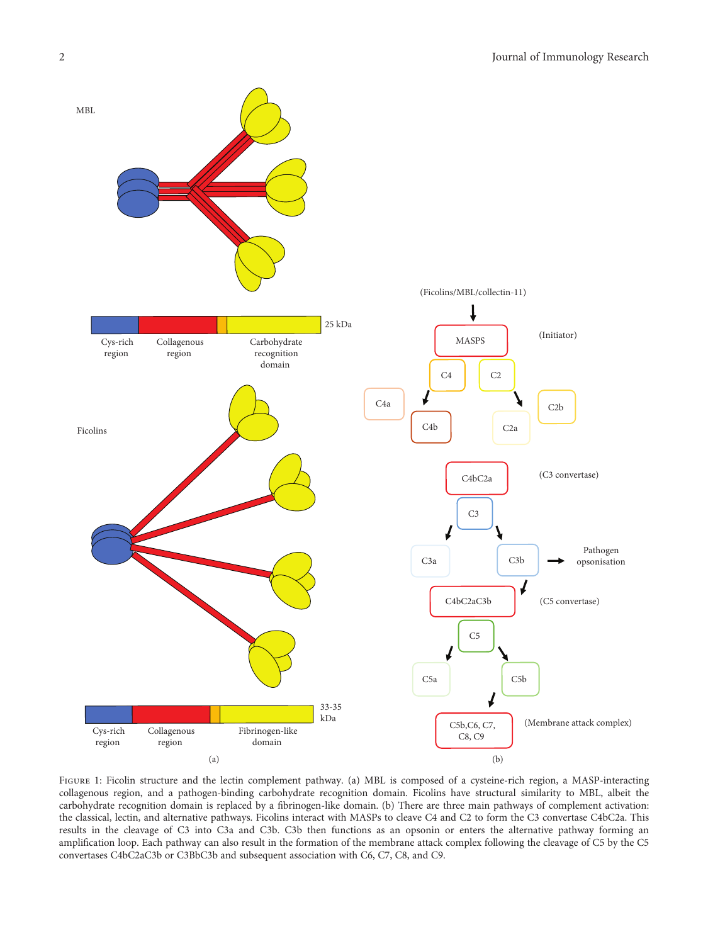<span id="page-2-0"></span>

FIGURE 1: Ficolin structure and the lectin complement pathway. (a) MBL is composed of a cysteine-rich region, a MASP-interacting collagenous region, and a pathogen-binding carbohydrate recognition domain. Ficolins have structural similarity to MBL, albeit the carbohydrate recognition domain is replaced by a fibrinogen-like domain. (b) There are three main pathways of complement activation: the classical, lectin, and alternative pathways. Ficolins interact with MASPs to cleave C4 and C2 to form the C3 convertase C4bC2a. This results in the cleavage of C3 into C3a and C3b. C3b then functions as an opsonin or enters the alternative pathway forming an amplification loop. Each pathway can also result in the formation of the membrane attack complex following the cleavage of C5 by the C5 convertases C4bC2aC3b or C3BbC3b and subsequent association with C6, C7, C8, and C9.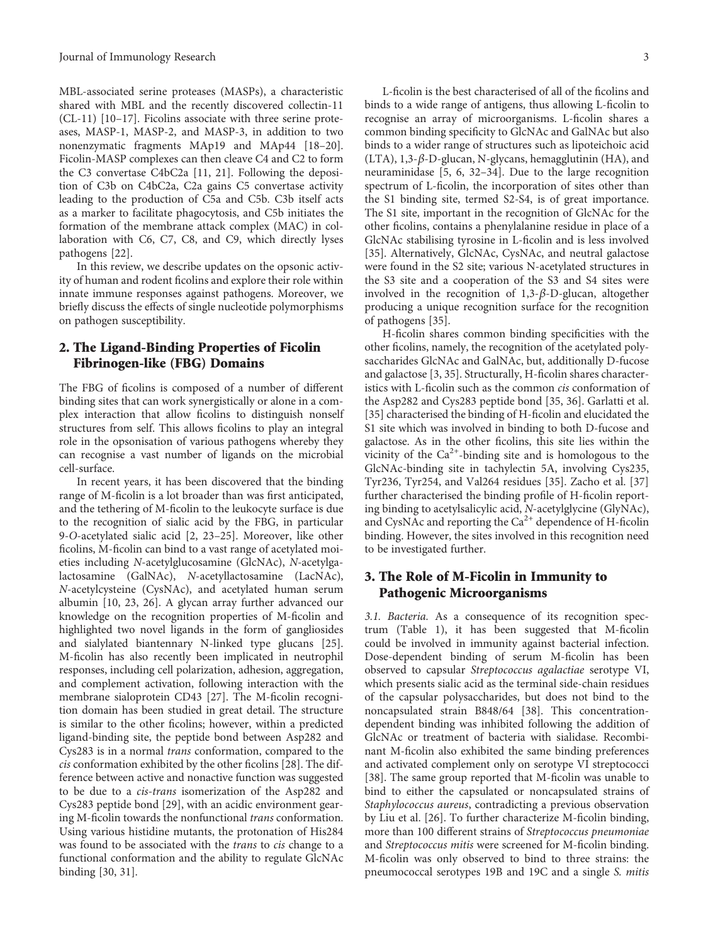MBL-associated serine proteases (MASPs), a characteristic shared with MBL and the recently discovered collectin-11 (CL-11) [[10](#page-9-0)–[17\]](#page-10-0). Ficolins associate with three serine proteases, MASP-1, MASP-2, and MASP-3, in addition to two nonenzymatic fragments MAp19 and MAp44 [\[18](#page-10-0)–[20](#page-10-0)]. Ficolin-MASP complexes can then cleave C4 and C2 to form the C3 convertase C4bC2a [\[11, 21](#page-10-0)]. Following the deposition of C3b on C4bC2a, C2a gains C5 convertase activity leading to the production of C5a and C5b. C3b itself acts as a marker to facilitate phagocytosis, and C5b initiates the formation of the membrane attack complex (MAC) in collaboration with C6, C7, C8, and C9, which directly lyses pathogens [\[22\]](#page-10-0).

In this review, we describe updates on the opsonic activity of human and rodent ficolins and explore their role within innate immune responses against pathogens. Moreover, we briefly discuss the effects of single nucleotide polymorphisms on pathogen susceptibility.

### 2. The Ligand-Binding Properties of Ficolin Fibrinogen-like (FBG) Domains

The FBG of ficolins is composed of a number of different binding sites that can work synergistically or alone in a complex interaction that allow ficolins to distinguish nonself structures from self. This allows ficolins to play an integral role in the opsonisation of various pathogens whereby they can recognise a vast number of ligands on the microbial cell-surface.

In recent years, it has been discovered that the binding range of M-ficolin is a lot broader than was first anticipated, and the tethering of M-ficolin to the leukocyte surface is due to the recognition of sialic acid by the FBG, in particular 9-O-acetylated sialic acid [[2,](#page-9-0) [23](#page-10-0)–[25](#page-10-0)]. Moreover, like other ficolins, M-ficolin can bind to a vast range of acetylated moieties including N-acetylglucosamine (GlcNAc), N-acetylgalactosamine (GalNAc), N-acetyllactosamine (LacNAc), N-acetylcysteine (CysNAc), and acetylated human serum albumin [\[10,](#page-9-0) [23](#page-10-0), [26\]](#page-10-0). A glycan array further advanced our knowledge on the recognition properties of M-ficolin and highlighted two novel ligands in the form of gangliosides and sialylated biantennary N-linked type glucans [[25](#page-10-0)]. M-ficolin has also recently been implicated in neutrophil responses, including cell polarization, adhesion, aggregation, and complement activation, following interaction with the membrane sialoprotein CD43 [\[27\]](#page-10-0). The M-ficolin recognition domain has been studied in great detail. The structure is similar to the other ficolins; however, within a predicted ligand-binding site, the peptide bond between Asp282 and Cys283 is in a normal trans conformation, compared to the cis conformation exhibited by the other ficolins [[28](#page-10-0)]. The difference between active and nonactive function was suggested to be due to a cis-trans isomerization of the Asp282 and Cys283 peptide bond [\[29](#page-10-0)], with an acidic environment gearing M-ficolin towards the nonfunctional trans conformation. Using various histidine mutants, the protonation of His284 was found to be associated with the trans to cis change to a functional conformation and the ability to regulate GlcNAc binding [\[30, 31](#page-10-0)].

L-ficolin is the best characterised of all of the ficolins and binds to a wide range of antigens, thus allowing L-ficolin to recognise an array of microorganisms. L-ficolin shares a common binding specificity to GlcNAc and GalNAc but also binds to a wider range of structures such as lipoteichoic acid (LTA), 1,3-*β*-D-glucan, N-glycans, hemagglutinin (HA), and neuraminidase [[5](#page-9-0), [6](#page-9-0), [32](#page-10-0)–[34\]](#page-10-0). Due to the large recognition spectrum of L-ficolin, the incorporation of sites other than the S1 binding site, termed S2-S4, is of great importance. The S1 site, important in the recognition of GlcNAc for the other ficolins, contains a phenylalanine residue in place of a GlcNAc stabilising tyrosine in L-ficolin and is less involved [\[35](#page-10-0)]. Alternatively, GlcNAc, CysNAc, and neutral galactose were found in the S2 site; various N-acetylated structures in the S3 site and a cooperation of the S3 and S4 sites were involved in the recognition of 1,3-*β*-D-glucan, altogether producing a unique recognition surface for the recognition of pathogens [[35](#page-10-0)].

H-ficolin shares common binding specificities with the other ficolins, namely, the recognition of the acetylated polysaccharides GlcNAc and GalNAc, but, additionally D-fucose and galactose [\[3](#page-9-0), [35\]](#page-10-0). Structurally, H-ficolin shares characteristics with L-ficolin such as the common cis conformation of the Asp282 and Cys283 peptide bond [\[35](#page-10-0), [36](#page-10-0)]. Garlatti et al. [\[35](#page-10-0)] characterised the binding of H-ficolin and elucidated the S1 site which was involved in binding to both D-fucose and galactose. As in the other ficolins, this site lies within the vicinity of the  $Ca^{2+}$ -binding site and is homologous to the GlcNAc-binding site in tachylectin 5A, involving Cys235, Tyr236, Tyr254, and Val264 residues [\[35\]](#page-10-0). Zacho et al. [[37\]](#page-10-0) further characterised the binding profile of H-ficolin reporting binding to acetylsalicylic acid, N-acetylglycine (GlyNAc), and CysNAc and reporting the  $Ca<sup>2+</sup>$  dependence of H-ficolin binding. However, the sites involved in this recognition need to be investigated further.

### 3. The Role of M-Ficolin in Immunity to Pathogenic Microorganisms

3.1. Bacteria. As a consequence of its recognition spectrum (Table [1](#page-4-0)), it has been suggested that M-ficolin could be involved in immunity against bacterial infection. Dose-dependent binding of serum M-ficolin has been observed to capsular Streptococcus agalactiae serotype VI, which presents sialic acid as the terminal side-chain residues of the capsular polysaccharides, but does not bind to the noncapsulated strain B848/64 [\[38\]](#page-10-0). This concentrationdependent binding was inhibited following the addition of GlcNAc or treatment of bacteria with sialidase. Recombinant M-ficolin also exhibited the same binding preferences and activated complement only on serotype VI streptococci [\[38\]](#page-10-0). The same group reported that M-ficolin was unable to bind to either the capsulated or noncapsulated strains of Staphylococcus aureus, contradicting a previous observation by Liu et al. [[26\]](#page-10-0). To further characterize M-ficolin binding, more than 100 different strains of Streptococcus pneumoniae and Streptococcus mitis were screened for M-ficolin binding. M-ficolin was only observed to bind to three strains: the pneumococcal serotypes 19B and 19C and a single S. mitis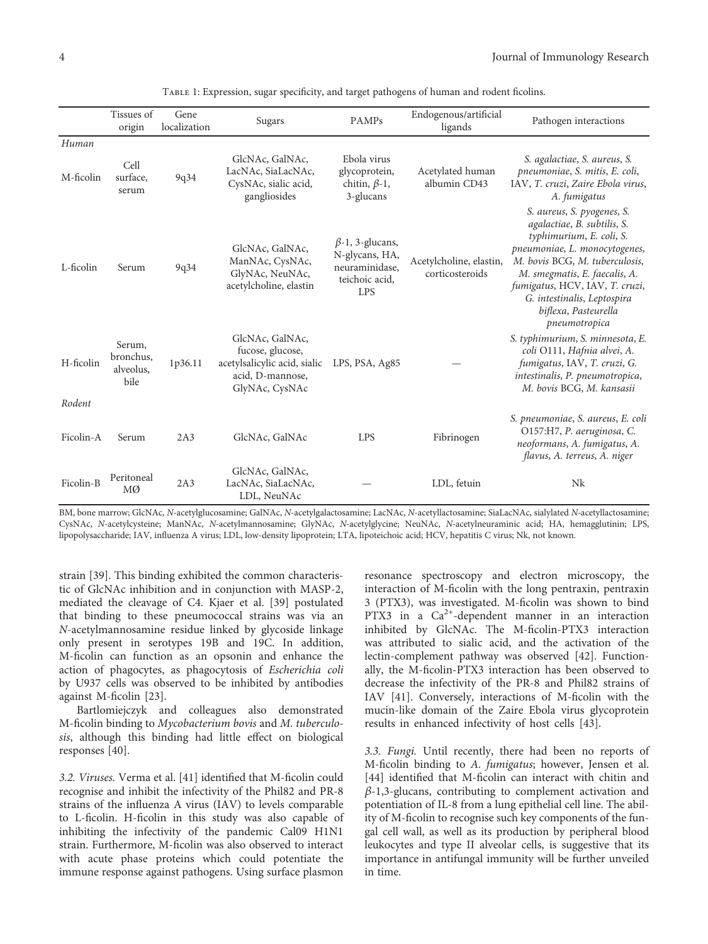<span id="page-4-0"></span>

|                     | Tissues of<br>origin                     | Gene<br>localization | Sugars                                                                                                    | <b>PAMPs</b>                                                                               | Endogenous/artificial<br>ligands           | Pathogen interactions                                                                                                                                                                                                                                                                               |
|---------------------|------------------------------------------|----------------------|-----------------------------------------------------------------------------------------------------------|--------------------------------------------------------------------------------------------|--------------------------------------------|-----------------------------------------------------------------------------------------------------------------------------------------------------------------------------------------------------------------------------------------------------------------------------------------------------|
| Human<br>M-ficolin  | Cell<br>surface.<br>serum                | 9q34                 | GlcNAc, GalNAc,<br>LacNAc, SiaLacNAc,<br>CysNAc, sialic acid,<br>gangliosides                             | Ebola virus<br>glycoprotein,<br>chitin, $\beta$ -1,<br>3-glucans                           | Acetylated human<br>albumin CD43           | S. agalactiae, S. aureus, S.<br>pneumoniae, S. mitis, E. coli,<br>IAV, T. cruzi, Zaire Ebola virus,<br>A. fumigatus                                                                                                                                                                                 |
| L-ficolin           | Serum                                    | 9q34                 | GlcNAc, GalNAc,<br>ManNAc, CysNAc,<br>GlyNAc, NeuNAc,<br>acetylcholine, elastin                           | $\beta$ -1, 3-glucans,<br>N-glycans, HA,<br>neuraminidase,<br>teichoic acid,<br><b>LPS</b> | Acetylcholine, elastin,<br>corticosteroids | S. aureus, S. pyogenes, S.<br>agalactiae, B. subtilis, S.<br>typhimurium, E. coli, S.<br>pneumoniae, L. monocytogenes,<br>M. bovis BCG, M. tuberculosis,<br>M. smegmatis, E. faecalis, A.<br>fumigatus, HCV, IAV, T. cruzi,<br>G. intestinalis, Leptospira<br>biflexa, Pasteurella<br>pneumotropica |
| H-ficolin<br>Rodent | Serum,<br>bronchus,<br>alveolus,<br>bile | 1p36.11              | GlcNAc, GalNAc,<br>fucose, glucose,<br>acetylsalicylic acid, sialic<br>acid, D-mannose,<br>GlyNAc, CysNAc | LPS, PSA, Ag85                                                                             |                                            | S. typhimurium, S. minnesota, E.<br>coli O111, Hafnia alvei, A.<br>fumigatus, IAV, T. cruzi, G.<br>intestinalis, P. pneumotropica,<br>M. bovis BCG, M. kansasii                                                                                                                                     |
| Ficolin-A           | Serum                                    | 2A3                  | GlcNAc, GalNAc                                                                                            | <b>LPS</b>                                                                                 | Fibrinogen                                 | S. pneumoniae, S. aureus, E. coli<br>O157:H7, P. aeruginosa, C.<br>neoformans, A. fumigatus, A.<br>flavus, A. terreus, A. niger                                                                                                                                                                     |
| Ficolin-B           | Peritoneal<br>MØ                         | 2A3                  | GlcNAc, GalNAc,<br>LacNAc, SiaLacNAc,<br>LDL, NeuNAc                                                      |                                                                                            | LDL, fetuin                                | Nk                                                                                                                                                                                                                                                                                                  |

Table 1: Expression, sugar specificity, and target pathogens of human and rodent ficolins.

BM, bone marrow; GlcNAc, N-acetylglucosamine; GalNAc, N-acetylgalactosamine; LacNAc, N-acetyllactosamine; SiaLacNAc, sialylated N-acetyllactosamine; CysNAc, N-acetylcysteine; ManNAc, N-acetylmannosamine; GlyNAc, N-acetylglycine; NeuNAc, N-acetylneuraminic acid; HA, hemagglutinin; LPS, lipopolysaccharide; IAV, influenza A virus; LDL, low-density lipoprotein; LTA, lipoteichoic acid; HCV, hepatitis C virus; Nk, not known.

strain [[39](#page-11-0)]. This binding exhibited the common characteristic of GlcNAc inhibition and in conjunction with MASP-2, mediated the cleavage of C4. Kjaer et al. [[39\]](#page-11-0) postulated that binding to these pneumococcal strains was via an N-acetylmannosamine residue linked by glycoside linkage only present in serotypes 19B and 19C. In addition, M-ficolin can function as an opsonin and enhance the action of phagocytes, as phagocytosis of Escherichia coli by U937 cells was observed to be inhibited by antibodies against M-ficolin [[23](#page-10-0)].

Bartlomiejczyk and colleagues also demonstrated M-ficolin binding to Mycobacterium bovis and M. tuberculosis, although this binding had little effect on biological responses [[40](#page-11-0)].

3.2. Viruses. Verma et al. [[41](#page-11-0)] identified that M-ficolin could recognise and inhibit the infectivity of the Phil82 and PR-8 strains of the influenza A virus (IAV) to levels comparable to L-ficolin. H-ficolin in this study was also capable of inhibiting the infectivity of the pandemic Cal09 H1N1 strain. Furthermore, M-ficolin was also observed to interact with acute phase proteins which could potentiate the immune response against pathogens. Using surface plasmon

resonance spectroscopy and electron microscopy, the interaction of M-ficolin with the long pentraxin, pentraxin 3 (PTX3), was investigated. M-ficolin was shown to bind PTX3 in a  $Ca^{2+}$ -dependent manner in an interaction inhibited by GlcNAc. The M-ficolin-PTX3 interaction was attributed to sialic acid, and the activation of the lectin-complement pathway was observed [\[42](#page-11-0)]. Functionally, the M-ficolin-PTX3 interaction has been observed to decrease the infectivity of the PR-8 and Phil82 strains of IAV [[41](#page-11-0)]. Conversely, interactions of M-ficolin with the mucin-like domain of the Zaire Ebola virus glycoprotein results in enhanced infectivity of host cells [\[43\]](#page-11-0).

3.3. Fungi. Until recently, there had been no reports of M-ficolin binding to A. fumigatus; however, Jensen et al. [\[44](#page-11-0)] identified that M-ficolin can interact with chitin and *β*-1,3-glucans, contributing to complement activation and potentiation of IL-8 from a lung epithelial cell line. The ability of M-ficolin to recognise such key components of the fungal cell wall, as well as its production by peripheral blood leukocytes and type II alveolar cells, is suggestive that its importance in antifungal immunity will be further unveiled in time.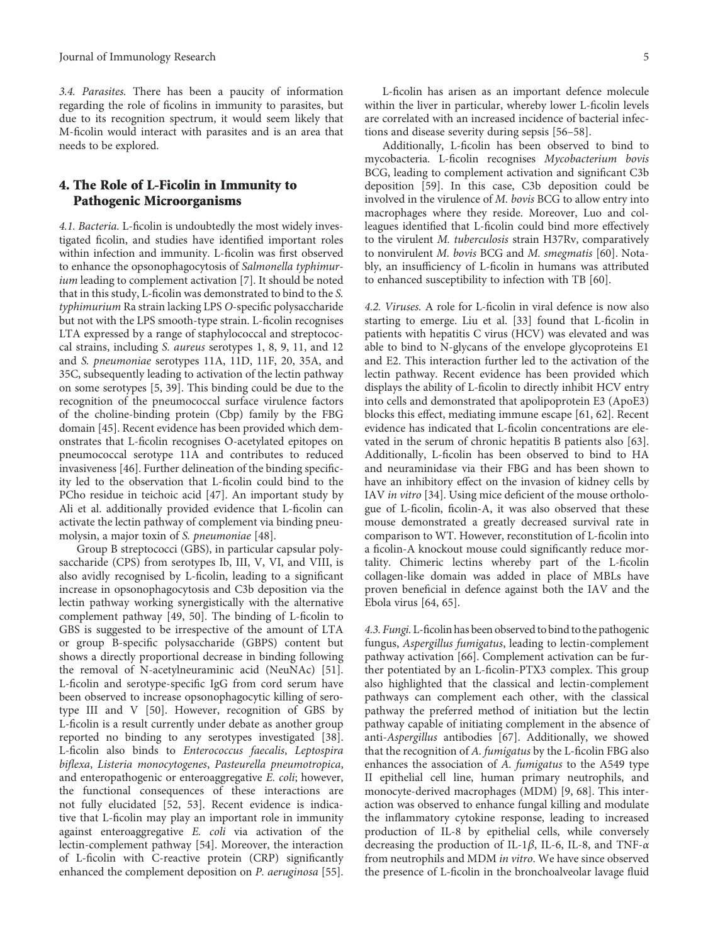3.4. Parasites. There has been a paucity of information regarding the role of ficolins in immunity to parasites, but due to its recognition spectrum, it would seem likely that M-ficolin would interact with parasites and is an area that needs to be explored.

#### 4. The Role of L-Ficolin in Immunity to Pathogenic Microorganisms

4.1. Bacteria. L-ficolin is undoubtedly the most widely investigated ficolin, and studies have identified important roles within infection and immunity. L-ficolin was first observed to enhance the opsonophagocytosis of Salmonella typhimur-ium leading to complement activation [\[7](#page-9-0)]. It should be noted that in this study, L-ficolin was demonstrated to bind to the S. typhimurium Ra strain lacking LPS O-specific polysaccharide but not with the LPS smooth-type strain. L-ficolin recognises LTA expressed by a range of staphylococcal and streptococcal strains, including S. aureus serotypes 1, 8, 9, 11, and 12 and S. pneumoniae serotypes 11A, 11D, 11F, 20, 35A, and 35C, subsequently leading to activation of the lectin pathway on some serotypes [[5](#page-9-0), [39](#page-11-0)]. This binding could be due to the recognition of the pneumococcal surface virulence factors of the choline-binding protein (Cbp) family by the FBG domain [\[45\]](#page-11-0). Recent evidence has been provided which demonstrates that L-ficolin recognises O-acetylated epitopes on pneumococcal serotype 11A and contributes to reduced invasiveness [\[46](#page-11-0)]. Further delineation of the binding specificity led to the observation that L-ficolin could bind to the PCho residue in teichoic acid [[47](#page-11-0)]. An important study by Ali et al. additionally provided evidence that L-ficolin can activate the lectin pathway of complement via binding pneumolysin, a major toxin of S. pneumoniae [[48](#page-11-0)].

Group B streptococci (GBS), in particular capsular polysaccharide (CPS) from serotypes Ib, III, V, VI, and VIII, is also avidly recognised by L-ficolin, leading to a significant increase in opsonophagocytosis and C3b deposition via the lectin pathway working synergistically with the alternative complement pathway [[49](#page-11-0), [50\]](#page-11-0). The binding of L-ficolin to GBS is suggested to be irrespective of the amount of LTA or group B-specific polysaccharide (GBPS) content but shows a directly proportional decrease in binding following the removal of N-acetylneuraminic acid (NeuNAc) [[51](#page-11-0)]. L-ficolin and serotype-specific IgG from cord serum have been observed to increase opsonophagocytic killing of serotype III and V [[50](#page-11-0)]. However, recognition of GBS by L-ficolin is a result currently under debate as another group reported no binding to any serotypes investigated [[38](#page-10-0)]. L-ficolin also binds to Enterococcus faecalis, Leptospira biflexa, Listeria monocytogenes, Pasteurella pneumotropica, and enteropathogenic or enteroaggregative E. coli; however, the functional consequences of these interactions are not fully elucidated [\[52, 53](#page-11-0)]. Recent evidence is indicative that L-ficolin may play an important role in immunity against enteroaggregative E. coli via activation of the lectin-complement pathway [[54](#page-11-0)]. Moreover, the interaction of L-ficolin with C-reactive protein (CRP) significantly enhanced the complement deposition on P. aeruginosa [[55](#page-11-0)].

L-ficolin has arisen as an important defence molecule within the liver in particular, whereby lower L-ficolin levels are correlated with an increased incidence of bacterial infections and disease severity during sepsis [\[56](#page-11-0)–[58\]](#page-11-0).

Additionally, L-ficolin has been observed to bind to mycobacteria. L-ficolin recognises Mycobacterium bovis BCG, leading to complement activation and significant C3b deposition [\[59](#page-11-0)]. In this case, C3b deposition could be involved in the virulence of M. bovis BCG to allow entry into macrophages where they reside. Moreover, Luo and colleagues identified that L-ficolin could bind more effectively to the virulent M. tuberculosis strain H37Rv, comparatively to nonvirulent M. bovis BCG and M. smegmatis [\[60](#page-11-0)]. Notably, an insufficiency of L-ficolin in humans was attributed to enhanced susceptibility to infection with TB [[60](#page-11-0)].

4.2. Viruses. A role for L-ficolin in viral defence is now also starting to emerge. Liu et al. [[33](#page-10-0)] found that L-ficolin in patients with hepatitis C virus (HCV) was elevated and was able to bind to N-glycans of the envelope glycoproteins E1 and E2. This interaction further led to the activation of the lectin pathway. Recent evidence has been provided which displays the ability of L-ficolin to directly inhibit HCV entry into cells and demonstrated that apolipoprotein E3 (ApoE3) blocks this effect, mediating immune escape [[61](#page-11-0), [62\]](#page-11-0). Recent evidence has indicated that L-ficolin concentrations are elevated in the serum of chronic hepatitis B patients also [[63](#page-11-0)]. Additionally, L-ficolin has been observed to bind to HA and neuraminidase via their FBG and has been shown to have an inhibitory effect on the invasion of kidney cells by IAV in vitro [[34](#page-10-0)]. Using mice deficient of the mouse orthologue of L-ficolin, ficolin-A, it was also observed that these mouse demonstrated a greatly decreased survival rate in comparison to WT. However, reconstitution of L-ficolin into a ficolin-A knockout mouse could significantly reduce mortality. Chimeric lectins whereby part of the L-ficolin collagen-like domain was added in place of MBLs have proven beneficial in defence against both the IAV and the Ebola virus [\[64, 65](#page-11-0)].

4.3. Fungi. L-ficolin has been observed to bind to the pathogenic fungus, Aspergillus fumigatus, leading to lectin-complement pathway activation [[66](#page-11-0)]. Complement activation can be further potentiated by an L-ficolin-PTX3 complex. This group also highlighted that the classical and lectin-complement pathways can complement each other, with the classical pathway the preferred method of initiation but the lectin pathway capable of initiating complement in the absence of anti-Aspergillus antibodies [[67](#page-12-0)]. Additionally, we showed that the recognition of A. fumigatus by the L-ficolin FBG also enhances the association of A. fumigatus to the A549 type II epithelial cell line, human primary neutrophils, and monocyte-derived macrophages (MDM) [[9](#page-9-0), [68](#page-12-0)]. This interaction was observed to enhance fungal killing and modulate the inflammatory cytokine response, leading to increased production of IL-8 by epithelial cells, while conversely decreasing the production of IL-1*β*, IL-6, IL-8, and TNF-*α* from neutrophils and MDM in vitro. We have since observed the presence of L-ficolin in the bronchoalveolar lavage fluid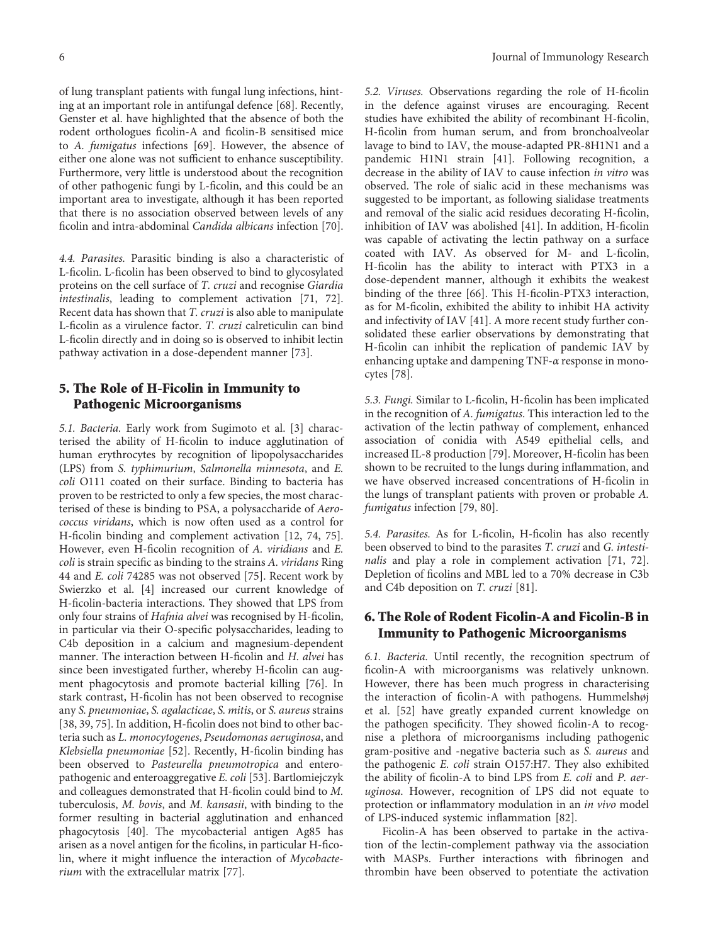of lung transplant patients with fungal lung infections, hinting at an important role in antifungal defence [[68\]](#page-12-0). Recently, Genster et al. have highlighted that the absence of both the rodent orthologues ficolin-A and ficolin-B sensitised mice to A. fumigatus infections [\[69\]](#page-12-0). However, the absence of either one alone was not sufficient to enhance susceptibility. Furthermore, very little is understood about the recognition of other pathogenic fungi by L-ficolin, and this could be an important area to investigate, although it has been reported that there is no association observed between levels of any ficolin and intra-abdominal Candida albicans infection [[70](#page-12-0)].

4.4. Parasites. Parasitic binding is also a characteristic of L-ficolin. L-ficolin has been observed to bind to glycosylated proteins on the cell surface of T. cruzi and recognise Giardia intestinalis, leading to complement activation [\[71, 72](#page-12-0)]. Recent data has shown that *T. cruzi* is also able to manipulate L-ficolin as a virulence factor. T. cruzi calreticulin can bind L-ficolin directly and in doing so is observed to inhibit lectin pathway activation in a dose-dependent manner [[73](#page-12-0)].

#### 5. The Role of H-Ficolin in Immunity to Pathogenic Microorganisms

5.1. Bacteria. Early work from Sugimoto et al. [\[3](#page-9-0)] characterised the ability of H-ficolin to induce agglutination of human erythrocytes by recognition of lipopolysaccharides (LPS) from S. typhimurium, Salmonella minnesota, and E. coli O111 coated on their surface. Binding to bacteria has proven to be restricted to only a few species, the most characterised of these is binding to PSA, a polysaccharide of Aerococcus viridans, which is now often used as a control for H-ficolin binding and complement activation [\[12,](#page-10-0) [74, 75](#page-12-0)]. However, even H-ficolin recognition of A. viridians and E. coli is strain specific as binding to the strains A. viridans Ring 44 and E. coli 74285 was not observed [\[75\]](#page-12-0). Recent work by Swierzko et al. [[4\]](#page-9-0) increased our current knowledge of H-ficolin-bacteria interactions. They showed that LPS from only four strains of Hafnia alvei was recognised by H-ficolin, in particular via their O-specific polysaccharides, leading to C4b deposition in a calcium and magnesium-dependent manner. The interaction between H-ficolin and H. alvei has since been investigated further, whereby H-ficolin can augment phagocytosis and promote bacterial killing [\[76\]](#page-12-0). In stark contrast, H-ficolin has not been observed to recognise any S. pneumoniae, S. agalacticae, S. mitis, or S. aureus strains [\[38,](#page-10-0) [39,](#page-11-0) [75\]](#page-12-0). In addition, H-ficolin does not bind to other bacteria such as L. monocytogenes, Pseudomonas aeruginosa, and Klebsiella pneumoniae [[52\]](#page-11-0). Recently, H-ficolin binding has been observed to Pasteurella pneumotropica and enteropathogenic and enteroaggregative E. coli [\[53\]](#page-11-0). Bartlomiejczyk and colleagues demonstrated that H-ficolin could bind to M. tuberculosis, M. bovis, and M. kansasii, with binding to the former resulting in bacterial agglutination and enhanced phagocytosis [[40](#page-11-0)]. The mycobacterial antigen Ag85 has arisen as a novel antigen for the ficolins, in particular H-ficolin, where it might influence the interaction of Mycobacte-rium with the extracellular matrix [\[77\]](#page-12-0).

5.2. Viruses. Observations regarding the role of H-ficolin in the defence against viruses are encouraging. Recent studies have exhibited the ability of recombinant H-ficolin, H-ficolin from human serum, and from bronchoalveolar lavage to bind to IAV, the mouse-adapted PR-8H1N1 and a pandemic H1N1 strain [[41\]](#page-11-0). Following recognition, a decrease in the ability of IAV to cause infection in vitro was observed. The role of sialic acid in these mechanisms was suggested to be important, as following sialidase treatments and removal of the sialic acid residues decorating H-ficolin, inhibition of IAV was abolished [\[41\]](#page-11-0). In addition, H-ficolin was capable of activating the lectin pathway on a surface coated with IAV. As observed for M- and L-ficolin, H-ficolin has the ability to interact with PTX3 in a dose-dependent manner, although it exhibits the weakest binding of the three [\[66\]](#page-11-0). This H-ficolin-PTX3 interaction, as for M-ficolin, exhibited the ability to inhibit HA activity and infectivity of IAV [\[41\]](#page-11-0). A more recent study further consolidated these earlier observations by demonstrating that H-ficolin can inhibit the replication of pandemic IAV by enhancing uptake and dampening TNF-*α* response in monocytes [[78](#page-12-0)].

5.3. Fungi. Similar to L-ficolin, H-ficolin has been implicated in the recognition of A. fumigatus. This interaction led to the activation of the lectin pathway of complement, enhanced association of conidia with A549 epithelial cells, and increased IL-8 production [\[79\]](#page-12-0). Moreover, H-ficolin has been shown to be recruited to the lungs during inflammation, and we have observed increased concentrations of H-ficolin in the lungs of transplant patients with proven or probable A. fumigatus infection [\[79](#page-12-0), [80\]](#page-12-0).

5.4. Parasites. As for L-ficolin, H-ficolin has also recently been observed to bind to the parasites T. cruzi and G. intestinalis and play a role in complement activation [\[71, 72](#page-12-0)]. Depletion of ficolins and MBL led to a 70% decrease in C3b and C4b deposition on T. cruzi [\[81\]](#page-12-0).

### 6. The Role of Rodent Ficolin-A and Ficolin-B in Immunity to Pathogenic Microorganisms

6.1. Bacteria. Until recently, the recognition spectrum of ficolin-A with microorganisms was relatively unknown. However, there has been much progress in characterising the interaction of ficolin-A with pathogens. Hummelshøj et al. [\[52\]](#page-11-0) have greatly expanded current knowledge on the pathogen specificity. They showed ficolin-A to recognise a plethora of microorganisms including pathogenic gram-positive and -negative bacteria such as S. aureus and the pathogenic E. coli strain O157:H7. They also exhibited the ability of ficolin-A to bind LPS from E. coli and P. aeruginosa. However, recognition of LPS did not equate to protection or inflammatory modulation in an in vivo model of LPS-induced systemic inflammation [[82\]](#page-12-0).

Ficolin-A has been observed to partake in the activation of the lectin-complement pathway via the association with MASPs. Further interactions with fibrinogen and thrombin have been observed to potentiate the activation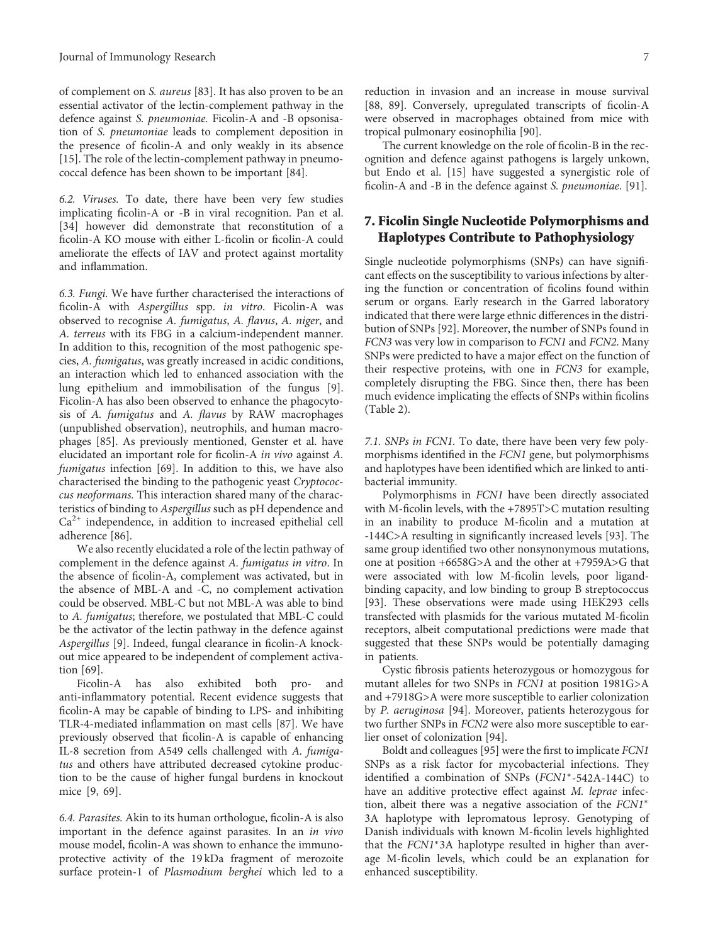of complement on S. aureus [[83](#page-12-0)]. It has also proven to be an essential activator of the lectin-complement pathway in the defence against S. pneumoniae. Ficolin-A and -B opsonisation of S. pneumoniae leads to complement deposition in the presence of ficolin-A and only weakly in its absence [\[15](#page-10-0)]. The role of the lectin-complement pathway in pneumococcal defence has been shown to be important [[84](#page-12-0)].

6.2. Viruses. To date, there have been very few studies implicating ficolin-A or -B in viral recognition. Pan et al. [\[34](#page-10-0)] however did demonstrate that reconstitution of a ficolin-A KO mouse with either L-ficolin or ficolin-A could ameliorate the effects of IAV and protect against mortality and inflammation.

6.3. Fungi. We have further characterised the interactions of ficolin-A with Aspergillus spp. in vitro. Ficolin-A was observed to recognise A. fumigatus, A. flavus, A. niger, and A. terreus with its FBG in a calcium-independent manner. In addition to this, recognition of the most pathogenic species, A. fumigatus, was greatly increased in acidic conditions, an interaction which led to enhanced association with the lung epithelium and immobilisation of the fungus [[9](#page-9-0)]. Ficolin-A has also been observed to enhance the phagocytosis of A. fumigatus and A. flavus by RAW macrophages (unpublished observation), neutrophils, and human macrophages [[85](#page-12-0)]. As previously mentioned, Genster et al. have elucidated an important role for ficolin-A in vivo against A. fumigatus infection [\[69\]](#page-12-0). In addition to this, we have also characterised the binding to the pathogenic yeast Cryptococcus neoformans. This interaction shared many of the characteristics of binding to Aspergillus such as pH dependence and  $Ca<sup>2+</sup>$  independence, in addition to increased epithelial cell adherence [[86](#page-12-0)].

We also recently elucidated a role of the lectin pathway of complement in the defence against A. fumigatus in vitro. In the absence of ficolin-A, complement was activated, but in the absence of MBL-A and -C, no complement activation could be observed. MBL-C but not MBL-A was able to bind to A. fumigatus; therefore, we postulated that MBL-C could be the activator of the lectin pathway in the defence against Aspergillus [\[9\]](#page-9-0). Indeed, fungal clearance in ficolin-A knockout mice appeared to be independent of complement activation [\[69\]](#page-12-0).

Ficolin-A has also exhibited both pro- and anti-inflammatory potential. Recent evidence suggests that ficolin-A may be capable of binding to LPS- and inhibiting TLR-4-mediated inflammation on mast cells [\[87\]](#page-12-0). We have previously observed that ficolin-A is capable of enhancing IL-8 secretion from A549 cells challenged with A. fumigatus and others have attributed decreased cytokine production to be the cause of higher fungal burdens in knockout mice [[9](#page-9-0), [69](#page-12-0)].

6.4. Parasites. Akin to its human orthologue, ficolin-A is also important in the defence against parasites. In an in vivo mouse model, ficolin-A was shown to enhance the immunoprotective activity of the 19 kDa fragment of merozoite surface protein-1 of Plasmodium berghei which led to a

reduction in invasion and an increase in mouse survival [\[88, 89\]](#page-12-0). Conversely, upregulated transcripts of ficolin-A were observed in macrophages obtained from mice with tropical pulmonary eosinophilia [[90](#page-12-0)].

The current knowledge on the role of ficolin-B in the recognition and defence against pathogens is largely unkown, but Endo et al. [\[15\]](#page-10-0) have suggested a synergistic role of ficolin-A and -B in the defence against S. pneumoniae. [\[91\]](#page-12-0).

#### 7. Ficolin Single Nucleotide Polymorphisms and Haplotypes Contribute to Pathophysiology

Single nucleotide polymorphisms (SNPs) can have significant effects on the susceptibility to various infections by altering the function or concentration of ficolins found within serum or organs. Early research in the Garred laboratory indicated that there were large ethnic differences in the distribution of SNPs [\[92\]](#page-12-0). Moreover, the number of SNPs found in FCN3 was very low in comparison to FCN1 and FCN2. Many SNPs were predicted to have a major effect on the function of their respective proteins, with one in FCN3 for example, completely disrupting the FBG. Since then, there has been much evidence implicating the effects of SNPs within ficolins (Table [2](#page-8-0)).

7.1. SNPs in FCN1. To date, there have been very few polymorphisms identified in the FCN1 gene, but polymorphisms and haplotypes have been identified which are linked to antibacterial immunity.

Polymorphisms in FCN1 have been directly associated with M-ficolin levels, with the +7895T>C mutation resulting in an inability to produce M-ficolin and a mutation at -144C>A resulting in significantly increased levels [\[93\]](#page-12-0). The same group identified two other nonsynonymous mutations, one at position +6658G>A and the other at +7959A>G that were associated with low M-ficolin levels, poor ligandbinding capacity, and low binding to group B streptococcus [\[93\]](#page-12-0). These observations were made using HEK293 cells transfected with plasmids for the various mutated M-ficolin receptors, albeit computational predictions were made that suggested that these SNPs would be potentially damaging in patients.

Cystic fibrosis patients heterozygous or homozygous for mutant alleles for two SNPs in FCN1 at position 1981G>A and +7918G>A were more susceptible to earlier colonization by P. aeruginosa [[94](#page-12-0)]. Moreover, patients heterozygous for two further SNPs in FCN2 were also more susceptible to earlier onset of colonization [[94](#page-12-0)].

Boldt and colleagues [\[95\]](#page-12-0) were the first to implicate FCN1 SNPs as a risk factor for mycobacterial infections. They identified a combination of SNPs (FCN1<sup>∗</sup>-542A-144C) to have an additive protective effect against M. leprae infection, albeit there was a negative association of the FCN1<sup>∗</sup> 3A haplotype with lepromatous leprosy. Genotyping of Danish individuals with known M-ficolin levels highlighted that the FCN1<sup>∗</sup>3A haplotype resulted in higher than average M-ficolin levels, which could be an explanation for enhanced susceptibility.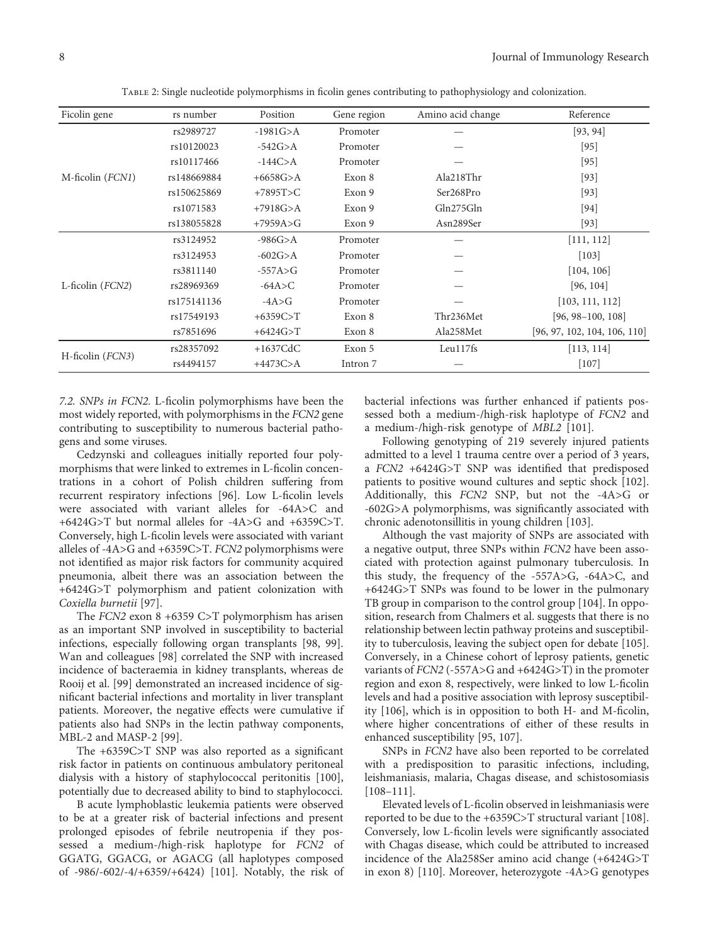<span id="page-8-0"></span>

| Ficolin gene       | rs number   | Position     | Gene region | Amino acid change | Reference                    |
|--------------------|-------------|--------------|-------------|-------------------|------------------------------|
|                    | rs2989727   | $-1981G > A$ | Promoter    |                   | [93, 94]                     |
| M-ficolin (FCN1)   | rs10120023  | $-542G > A$  | Promoter    |                   | $[95]$                       |
|                    | rs10117466  | $-144C > A$  | Promoter    |                   | $[95]$                       |
|                    | rs148669884 | $+6658G$ >A  | Exon 8      | Ala218Thr         | $[93]$                       |
|                    | rs150625869 | $+7895T>C$   | Exon 9      | Ser268Pro         | $[93]$                       |
|                    | rs1071583   | $+7918G > A$ | Exon 9      | Gln275Gln         | [94]                         |
|                    | rs138055828 | $+7959A>G$   | Exon 9      | Asn289Ser         | $[93]$                       |
|                    | rs3124952   | $-986G > A$  | Promoter    |                   | [111, 112]                   |
|                    | rs3124953   | $-602G > A$  | Promoter    |                   | $[103]$                      |
|                    | rs3811140   | $-557A > G$  | Promoter    |                   | [104, 106]                   |
| L-ficolin $(FCN2)$ | rs28969369  | $-64A > C$   | Promoter    |                   | [96, 104]                    |
|                    | rs175141136 | $-4A > G$    | Promoter    |                   | [103, 111, 112]              |
|                    | rs17549193  | $+6359C > T$ | Exon 8      | Thr236Met         | $[96, 98-100, 108]$          |
|                    | rs7851696   | $+6424G > T$ | Exon 8      | Ala258Met         | [96, 97, 102, 104, 106, 110] |
|                    | rs28357092  | $+1637$ CdC  | Exon 5      | Leu117fs          | [113, 114]                   |
| H-ficolin (FCN3)   | rs4494157   | $+4473C > A$ | Intron 7    |                   | $[107]$                      |

Table 2: Single nucleotide polymorphisms in ficolin genes contributing to pathophysiology and colonization.

7.2. SNPs in FCN2. L-ficolin polymorphisms have been the most widely reported, with polymorphisms in the FCN2 gene contributing to susceptibility to numerous bacterial pathogens and some viruses.

Cedzynski and colleagues initially reported four polymorphisms that were linked to extremes in L-ficolin concentrations in a cohort of Polish children suffering from recurrent respiratory infections [\[96\]](#page-13-0). Low L-ficolin levels were associated with variant alleles for -64A>C and +6424G>T but normal alleles for -4A>G and +6359C>T. Conversely, high L-ficolin levels were associated with variant alleles of -4A>G and +6359C>T. FCN2 polymorphisms were not identified as major risk factors for community acquired pneumonia, albeit there was an association between the +6424G>T polymorphism and patient colonization with Coxiella burnetii [\[97\]](#page-13-0).

The FCN2 exon 8 +6359 C>T polymorphism has arisen as an important SNP involved in susceptibility to bacterial infections, especially following organ transplants [[98](#page-13-0), [99](#page-13-0)]. Wan and colleagues [\[98\]](#page-13-0) correlated the SNP with increased incidence of bacteraemia in kidney transplants, whereas de Rooij et al. [\[99\]](#page-13-0) demonstrated an increased incidence of significant bacterial infections and mortality in liver transplant patients. Moreover, the negative effects were cumulative if patients also had SNPs in the lectin pathway components, MBL-2 and MASP-2 [\[99\]](#page-13-0).

The +6359C>T SNP was also reported as a significant risk factor in patients on continuous ambulatory peritoneal dialysis with a history of staphylococcal peritonitis [[100](#page-13-0)], potentially due to decreased ability to bind to staphylococci.

B acute lymphoblastic leukemia patients were observed to be at a greater risk of bacterial infections and present prolonged episodes of febrile neutropenia if they possessed a medium-/high-risk haplotype for FCN2 of GGATG, GGACG, or AGACG (all haplotypes composed of -986/-602/-4/+6359/+6424) [[101](#page-13-0)]. Notably, the risk of bacterial infections was further enhanced if patients possessed both a medium-/high-risk haplotype of FCN2 and a medium-/high-risk genotype of MBL2 [\[101\]](#page-13-0).

Following genotyping of 219 severely injured patients admitted to a level 1 trauma centre over a period of 3 years, a FCN2 +6424G>T SNP was identified that predisposed patients to positive wound cultures and septic shock [[102](#page-13-0)]. Additionally, this FCN2 SNP, but not the -4A>G or -602G>A polymorphisms, was significantly associated with chronic adenotonsillitis in young children [[103](#page-13-0)].

Although the vast majority of SNPs are associated with a negative output, three SNPs within FCN2 have been associated with protection against pulmonary tuberculosis. In this study, the frequency of the -557A>G, -64A>C, and +6424G>T SNPs was found to be lower in the pulmonary TB group in comparison to the control group [\[104](#page-13-0)]. In opposition, research from Chalmers et al. suggests that there is no relationship between lectin pathway proteins and susceptibility to tuberculosis, leaving the subject open for debate [[105](#page-13-0)]. Conversely, in a Chinese cohort of leprosy patients, genetic variants of FCN2 (-557A>G and +6424G>T) in the promoter region and exon 8, respectively, were linked to low L-ficolin levels and had a positive association with leprosy susceptibility [\[106](#page-13-0)], which is in opposition to both H- and M-ficolin, where higher concentrations of either of these results in enhanced susceptibility [\[95,](#page-12-0) [107\]](#page-13-0).

SNPs in FCN2 have also been reported to be correlated with a predisposition to parasitic infections, including, leishmaniasis, malaria, Chagas disease, and schistosomiasis [\[108](#page-13-0)–[111](#page-13-0)].

Elevated levels of L-ficolin observed in leishmaniasis were reported to be due to the +6359C>T structural variant [\[108](#page-13-0)]. Conversely, low L-ficolin levels were significantly associated with Chagas disease, which could be attributed to increased incidence of the Ala258Ser amino acid change (+6424G>T in exon 8) [\[110\]](#page-13-0). Moreover, heterozygote -4A>G genotypes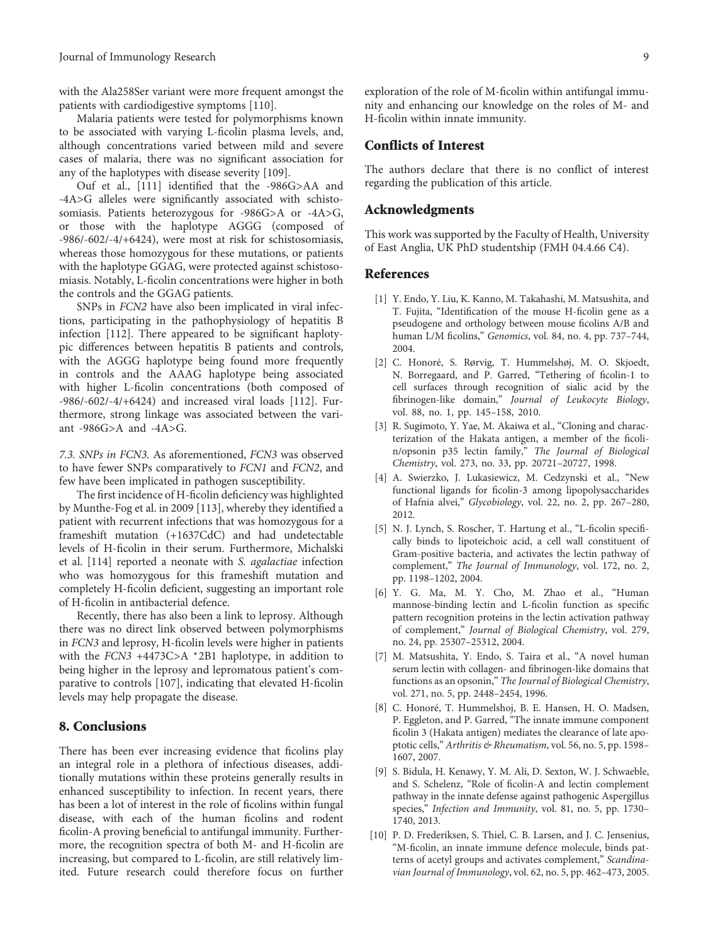<span id="page-9-0"></span>with the Ala258Ser variant were more frequent amongst the patients with cardiodigestive symptoms [\[110\]](#page-13-0).

Malaria patients were tested for polymorphisms known to be associated with varying L-ficolin plasma levels, and, although concentrations varied between mild and severe cases of malaria, there was no significant association for any of the haplotypes with disease severity [\[109\]](#page-13-0).

Ouf et al., [\[111\]](#page-13-0) identified that the -986G>AA and -4A>G alleles were significantly associated with schistosomiasis. Patients heterozygous for -986G>A or -4A>G, or those with the haplotype AGGG (composed of -986/-602/-4/+6424), were most at risk for schistosomiasis, whereas those homozygous for these mutations, or patients with the haplotype GGAG, were protected against schistosomiasis. Notably, L-ficolin concentrations were higher in both the controls and the GGAG patients.

SNPs in FCN2 have also been implicated in viral infections, participating in the pathophysiology of hepatitis B infection [\[112](#page-13-0)]. There appeared to be significant haplotypic differences between hepatitis B patients and controls, with the AGGG haplotype being found more frequently in controls and the AAAG haplotype being associated with higher L-ficolin concentrations (both composed of -986/-602/-4/+6424) and increased viral loads [[112](#page-13-0)]. Furthermore, strong linkage was associated between the variant -986G>A and -4A>G.

7.3. SNPs in FCN3. As aforementioned, FCN3 was observed to have fewer SNPs comparatively to FCN1 and FCN2, and few have been implicated in pathogen susceptibility.

The first incidence of H-ficolin deficiency was highlighted by Munthe-Fog et al. in 2009 [[113](#page-13-0)], whereby they identified a patient with recurrent infections that was homozygous for a frameshift mutation (+1637CdC) and had undetectable levels of H-ficolin in their serum. Furthermore, Michalski et al. [\[114\]](#page-13-0) reported a neonate with S. agalactiae infection who was homozygous for this frameshift mutation and completely H-ficolin deficient, suggesting an important role of H-ficolin in antibacterial defence.

Recently, there has also been a link to leprosy. Although there was no direct link observed between polymorphisms in FCN3 and leprosy, H-ficolin levels were higher in patients with the  $FCN3 +4473C>A *2B1$  haplotype, in addition to being higher in the leprosy and lepromatous patient's comparative to controls [[107](#page-13-0)], indicating that elevated H-ficolin levels may help propagate the disease.

#### 8. Conclusions

There has been ever increasing evidence that ficolins play an integral role in a plethora of infectious diseases, additionally mutations within these proteins generally results in enhanced susceptibility to infection. In recent years, there has been a lot of interest in the role of ficolins within fungal disease, with each of the human ficolins and rodent ficolin-A proving beneficial to antifungal immunity. Furthermore, the recognition spectra of both M- and H-ficolin are increasing, but compared to L-ficolin, are still relatively limited. Future research could therefore focus on further

exploration of the role of M-ficolin within antifungal immunity and enhancing our knowledge on the roles of M- and H-ficolin within innate immunity.

#### Conflicts of Interest

The authors declare that there is no conflict of interest regarding the publication of this article.

#### Acknowledgments

This work was supported by the Faculty of Health, University of East Anglia, UK PhD studentship (FMH 04.4.66 C4).

#### References

- [1] Y. Endo, Y. Liu, K. Kanno, M. Takahashi, M. Matsushita, and T. Fujita, "Identification of the mouse H-ficolin gene as a pseudogene and orthology between mouse ficolins A/B and human L/M ficolins," Genomics, vol. 84, no. 4, pp. 737–744, 2004.
- [2] C. Honoré, S. Rørvig, T. Hummelshøj, M. O. Skjoedt, N. Borregaard, and P. Garred, "Tethering of ficolin-1 to cell surfaces through recognition of sialic acid by the fibrinogen-like domain," Journal of Leukocyte Biology, vol. 88, no. 1, pp. 145–158, 2010.
- [3] R. Sugimoto, Y. Yae, M. Akaiwa et al., "Cloning and characterization of the Hakata antigen, a member of the ficolin/opsonin p35 lectin family," The Journal of Biological Chemistry, vol. 273, no. 33, pp. 20721–20727, 1998.
- [4] A. Swierzko, J. Lukasiewicz, M. Cedzynski et al., "New functional ligands for ficolin-3 among lipopolysaccharides of Hafnia alvei," Glycobiology, vol. 22, no. 2, pp. 267–280, 2012.
- [5] N. J. Lynch, S. Roscher, T. Hartung et al., "L-ficolin specifically binds to lipoteichoic acid, a cell wall constituent of Gram-positive bacteria, and activates the lectin pathway of complement," The Journal of Immunology, vol. 172, no. 2, pp. 1198–1202, 2004.
- [6] Y. G. Ma, M. Y. Cho, M. Zhao et al., "Human mannose-binding lectin and L-ficolin function as specific pattern recognition proteins in the lectin activation pathway of complement," Journal of Biological Chemistry, vol. 279, no. 24, pp. 25307–25312, 2004.
- [7] M. Matsushita, Y. Endo, S. Taira et al., "A novel human serum lectin with collagen- and fibrinogen-like domains that functions as an opsonin," The Journal of Biological Chemistry, vol. 271, no. 5, pp. 2448–2454, 1996.
- [8] C. Honoré, T. Hummelshoj, B. E. Hansen, H. O. Madsen, P. Eggleton, and P. Garred, "The innate immune component ficolin 3 (Hakata antigen) mediates the clearance of late apoptotic cells," Arthritis & Rheumatism, vol. 56, no. 5, pp. 1598-1607, 2007.
- [9] S. Bidula, H. Kenawy, Y. M. Ali, D. Sexton, W. J. Schwaeble, and S. Schelenz, "Role of ficolin-A and lectin complement pathway in the innate defense against pathogenic Aspergillus species," Infection and Immunity, vol. 81, no. 5, pp. 1730– 1740, 2013.
- [10] P. D. Frederiksen, S. Thiel, C. B. Larsen, and J. C. Jensenius, "M-ficolin, an innate immune defence molecule, binds patterns of acetyl groups and activates complement," Scandinavian Journal of Immunology, vol. 62, no. 5, pp. 462–473, 2005.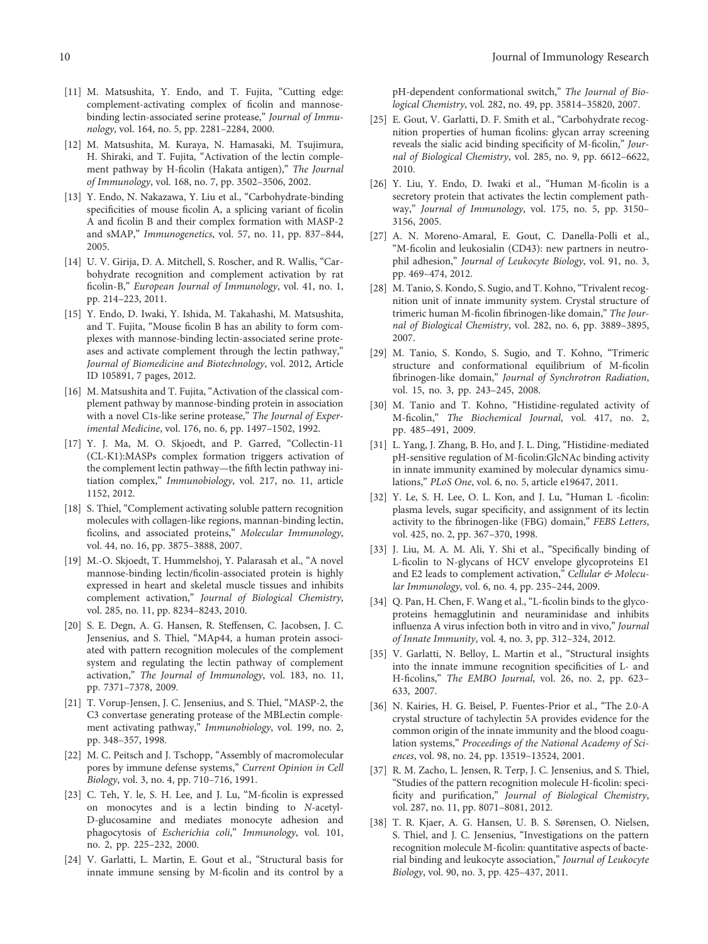- <span id="page-10-0"></span>[11] M. Matsushita, Y. Endo, and T. Fujita, "Cutting edge: complement-activating complex of ficolin and mannosebinding lectin-associated serine protease," Journal of Immunology, vol. 164, no. 5, pp. 2281–2284, 2000.
- [12] M. Matsushita, M. Kuraya, N. Hamasaki, M. Tsujimura, H. Shiraki, and T. Fujita, "Activation of the lectin complement pathway by H-ficolin (Hakata antigen)," The Journal of Immunology, vol. 168, no. 7, pp. 3502–3506, 2002.
- [13] Y. Endo, N. Nakazawa, Y. Liu et al., "Carbohydrate-binding specificities of mouse ficolin A, a splicing variant of ficolin A and ficolin B and their complex formation with MASP-2 and sMAP," Immunogenetics, vol. 57, no. 11, pp. 837–844, 2005.
- [14] U. V. Girija, D. A. Mitchell, S. Roscher, and R. Wallis, "Carbohydrate recognition and complement activation by rat ficolin-B," European Journal of Immunology, vol. 41, no. 1, pp. 214–223, 2011.
- [15] Y. Endo, D. Iwaki, Y. Ishida, M. Takahashi, M. Matsushita, and T. Fujita, "Mouse ficolin B has an ability to form complexes with mannose-binding lectin-associated serine proteases and activate complement through the lectin pathway," Journal of Biomedicine and Biotechnology, vol. 2012, Article ID 105891, 7 pages, 2012.
- [16] M. Matsushita and T. Fujita, "Activation of the classical complement pathway by mannose-binding protein in association with a novel C1s-like serine protease," The Journal of Experimental Medicine, vol. 176, no. 6, pp. 1497–1502, 1992.
- [17] Y. J. Ma, M. O. Skjoedt, and P. Garred, "Collectin-11 (CL-K1):MASPs complex formation triggers activation of the complement lectin pathway—the fifth lectin pathway initiation complex," Immunobiology, vol. 217, no. 11, article 1152, 2012.
- [18] S. Thiel, "Complement activating soluble pattern recognition molecules with collagen-like regions, mannan-binding lectin, ficolins, and associated proteins," Molecular Immunology, vol. 44, no. 16, pp. 3875–3888, 2007.
- [19] M.-O. Skjoedt, T. Hummelshoj, Y. Palarasah et al., "A novel mannose-binding lectin/ficolin-associated protein is highly expressed in heart and skeletal muscle tissues and inhibits complement activation," Journal of Biological Chemistry, vol. 285, no. 11, pp. 8234–8243, 2010.
- [20] S. E. Degn, A. G. Hansen, R. Steffensen, C. Jacobsen, J. C. Jensenius, and S. Thiel, "MAp44, a human protein associated with pattern recognition molecules of the complement system and regulating the lectin pathway of complement activation," The Journal of Immunology, vol. 183, no. 11, pp. 7371–7378, 2009.
- [21] T. Vorup-Jensen, J. C. Jensenius, and S. Thiel, "MASP-2, the C3 convertase generating protease of the MBLectin complement activating pathway," Immunobiology, vol. 199, no. 2, pp. 348–357, 1998.
- [22] M. C. Peitsch and J. Tschopp, "Assembly of macromolecular pores by immune defense systems," Current Opinion in Cell Biology, vol. 3, no. 4, pp. 710–716, 1991.
- [23] C. Teh, Y. le, S. H. Lee, and J. Lu, "M-ficolin is expressed on monocytes and is a lectin binding to N-acetyl-D-glucosamine and mediates monocyte adhesion and phagocytosis of Escherichia coli," Immunology, vol. 101, no. 2, pp. 225–232, 2000.
- [24] V. Garlatti, L. Martin, E. Gout et al., "Structural basis for innate immune sensing by M-ficolin and its control by a

pH-dependent conformational switch," The Journal of Biological Chemistry, vol. 282, no. 49, pp. 35814–35820, 2007.

- [25] E. Gout, V. Garlatti, D. F. Smith et al., "Carbohydrate recognition properties of human ficolins: glycan array screening reveals the sialic acid binding specificity of M-ficolin," Journal of Biological Chemistry, vol. 285, no. 9, pp. 6612–6622, 2010.
- [26] Y. Liu, Y. Endo, D. Iwaki et al., "Human M-ficolin is a secretory protein that activates the lectin complement pathway," Journal of Immunology, vol. 175, no. 5, pp. 3150– 3156, 2005.
- [27] A. N. Moreno-Amaral, E. Gout, C. Danella-Polli et al., "M-ficolin and leukosialin (CD43): new partners in neutrophil adhesion," Journal of Leukocyte Biology, vol. 91, no. 3, pp. 469–474, 2012.
- [28] M. Tanio, S. Kondo, S. Sugio, and T. Kohno, "Trivalent recognition unit of innate immunity system. Crystal structure of trimeric human M-ficolin fibrinogen-like domain," The Journal of Biological Chemistry, vol. 282, no. 6, pp. 3889–3895, 2007.
- [29] M. Tanio, S. Kondo, S. Sugio, and T. Kohno, "Trimeric structure and conformational equilibrium of M-ficolin fibrinogen-like domain," Journal of Synchrotron Radiation, vol. 15, no. 3, pp. 243–245, 2008.
- [30] M. Tanio and T. Kohno, "Histidine-regulated activity of M-ficolin," The Biochemical Journal, vol. 417, no. 2, pp. 485–491, 2009.
- [31] L. Yang, J. Zhang, B. Ho, and J. L. Ding, "Histidine-mediated pH-sensitive regulation of M-ficolin:GlcNAc binding activity in innate immunity examined by molecular dynamics simulations," PLoS One, vol. 6, no. 5, article e19647, 2011.
- [32] Y. Le, S. H. Lee, O. L. Kon, and J. Lu, "Human L -ficolin: plasma levels, sugar specificity, and assignment of its lectin activity to the fibrinogen-like (FBG) domain," FEBS Letters, vol. 425, no. 2, pp. 367–370, 1998.
- [33] J. Liu, M. A. M. Ali, Y. Shi et al., "Specifically binding of L-ficolin to N-glycans of HCV envelope glycoproteins E1 and E2 leads to complement activation," Cellular & Molecular Immunology, vol. 6, no. 4, pp. 235–244, 2009.
- [34] Q. Pan, H. Chen, F. Wang et al., "L-ficolin binds to the glycoproteins hemagglutinin and neuraminidase and inhibits influenza A virus infection both in vitro and in vivo," Journal of Innate Immunity, vol. 4, no. 3, pp. 312–324, 2012.
- [35] V. Garlatti, N. Belloy, L. Martin et al., "Structural insights into the innate immune recognition specificities of L- and H-ficolins," The EMBO Journal, vol. 26, no. 2, pp. 623– 633, 2007.
- [36] N. Kairies, H. G. Beisel, P. Fuentes-Prior et al., "The 2.0-A crystal structure of tachylectin 5A provides evidence for the common origin of the innate immunity and the blood coagulation systems," Proceedings of the National Academy of Sciences, vol. 98, no. 24, pp. 13519–13524, 2001.
- [37] R. M. Zacho, L. Jensen, R. Terp, J. C. Jensenius, and S. Thiel, "Studies of the pattern recognition molecule H-ficolin: specificity and purification," Journal of Biological Chemistry, vol. 287, no. 11, pp. 8071–8081, 2012.
- [38] T. R. Kjaer, A. G. Hansen, U. B. S. Sørensen, O. Nielsen, S. Thiel, and J. C. Jensenius, "Investigations on the pattern recognition molecule M-ficolin: quantitative aspects of bacterial binding and leukocyte association," Journal of Leukocyte Biology, vol. 90, no. 3, pp. 425–437, 2011.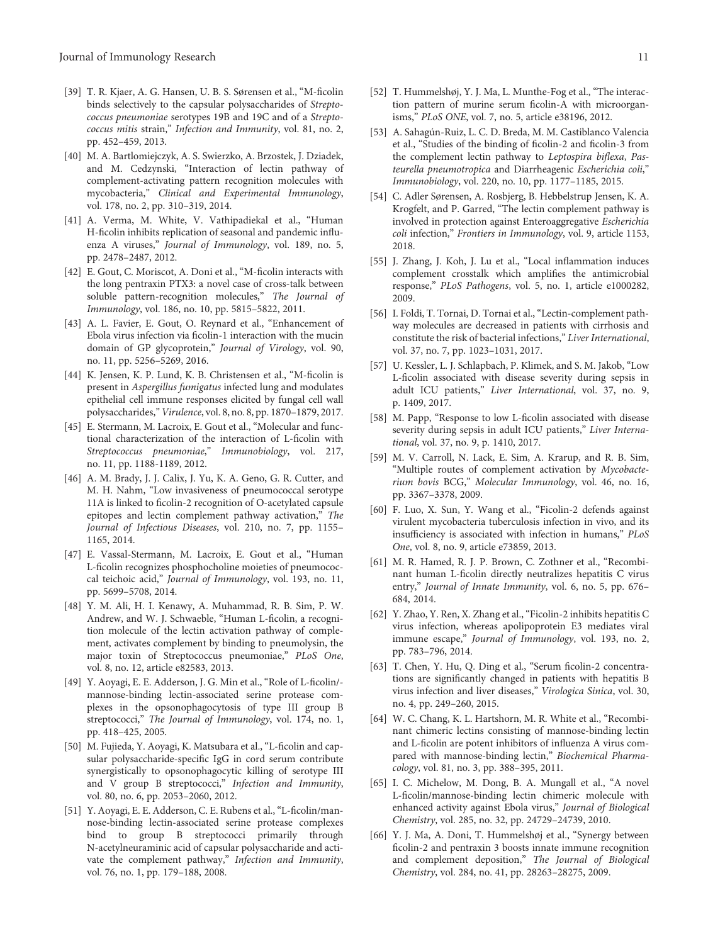- <span id="page-11-0"></span>[39] T. R. Kjaer, A. G. Hansen, U. B. S. Sørensen et al., "M-ficolin binds selectively to the capsular polysaccharides of Streptococcus pneumoniae serotypes 19B and 19C and of a Streptococcus mitis strain," Infection and Immunity, vol. 81, no. 2, pp. 452–459, 2013.
- [40] M. A. Bartlomiejczyk, A. S. Swierzko, A. Brzostek, J. Dziadek, and M. Cedzynski, "Interaction of lectin pathway of complement-activating pattern recognition molecules with mycobacteria," Clinical and Experimental Immunology, vol. 178, no. 2, pp. 310–319, 2014.
- [41] A. Verma, M. White, V. Vathipadiekal et al., "Human H-ficolin inhibits replication of seasonal and pandemic influenza A viruses," Journal of Immunology, vol. 189, no. 5, pp. 2478–2487, 2012.
- [42] E. Gout, C. Moriscot, A. Doni et al., "M-ficolin interacts with the long pentraxin PTX3: a novel case of cross-talk between soluble pattern-recognition molecules," The Journal of Immunology, vol. 186, no. 10, pp. 5815–5822, 2011.
- [43] A. L. Favier, E. Gout, O. Reynard et al., "Enhancement of Ebola virus infection via ficolin-1 interaction with the mucin domain of GP glycoprotein," Journal of Virology, vol. 90, no. 11, pp. 5256–5269, 2016.
- [44] K. Jensen, K. P. Lund, K. B. Christensen et al., "M-ficolin is present in Aspergillus fumigatus infected lung and modulates epithelial cell immune responses elicited by fungal cell wall polysaccharides,"Virulence, vol. 8, no. 8, pp. 1870–1879, 2017.
- [45] E. Stermann, M. Lacroix, E. Gout et al., "Molecular and functional characterization of the interaction of L-ficolin with Streptococcus pneumoniae," Immunobiology, vol. 217, no. 11, pp. 1188-1189, 2012.
- [46] A. M. Brady, J. J. Calix, J. Yu, K. A. Geno, G. R. Cutter, and M. H. Nahm, "Low invasiveness of pneumococcal serotype 11A is linked to ficolin-2 recognition of O-acetylated capsule epitopes and lectin complement pathway activation," The Journal of Infectious Diseases, vol. 210, no. 7, pp. 1155– 1165, 2014.
- [47] E. Vassal-Stermann, M. Lacroix, E. Gout et al., "Human L-ficolin recognizes phosphocholine moieties of pneumococcal teichoic acid," Journal of Immunology, vol. 193, no. 11, pp. 5699–5708, 2014.
- [48] Y. M. Ali, H. I. Kenawy, A. Muhammad, R. B. Sim, P. W. Andrew, and W. J. Schwaeble, "Human L-ficolin, a recognition molecule of the lectin activation pathway of complement, activates complement by binding to pneumolysin, the major toxin of Streptococcus pneumoniae," PLoS One, vol. 8, no. 12, article e82583, 2013.
- [49] Y. Aoyagi, E. E. Adderson, J. G. Min et al., "Role of L-ficolin/ mannose-binding lectin-associated serine protease complexes in the opsonophagocytosis of type III group B streptococci," The Journal of Immunology, vol. 174, no. 1, pp. 418–425, 2005.
- [50] M. Fujieda, Y. Aoyagi, K. Matsubara et al., "L-ficolin and capsular polysaccharide-specific IgG in cord serum contribute synergistically to opsonophagocytic killing of serotype III and V group B streptococci," Infection and Immunity, vol. 80, no. 6, pp. 2053–2060, 2012.
- [51] Y. Aoyagi, E. E. Adderson, C. E. Rubens et al.,"L-ficolin/mannose-binding lectin-associated serine protease complexes bind to group B streptococci primarily through N-acetylneuraminic acid of capsular polysaccharide and activate the complement pathway," Infection and Immunity, vol. 76, no. 1, pp. 179–188, 2008.
- [52] T. Hummelshøj, Y. J. Ma, L. Munthe-Fog et al., "The interaction pattern of murine serum ficolin-A with microorganisms," PLoS ONE, vol. 7, no. 5, article e38196, 2012.
- [53] A. Sahagún-Ruiz, L. C. D. Breda, M. M. Castiblanco Valencia et al., "Studies of the binding of ficolin-2 and ficolin-3 from the complement lectin pathway to Leptospira biflexa, Pasteurella pneumotropica and Diarrheagenic Escherichia coli," Immunobiology, vol. 220, no. 10, pp. 1177–1185, 2015.
- [54] C. Adler Sørensen, A. Rosbjerg, B. Hebbelstrup Jensen, K. A. Krogfelt, and P. Garred, "The lectin complement pathway is involved in protection against Enteroaggregative Escherichia coli infection," Frontiers in Immunology, vol. 9, article 1153, 2018.
- [55] J. Zhang, J. Koh, J. Lu et al., "Local inflammation induces complement crosstalk which amplifies the antimicrobial response," PLoS Pathogens, vol. 5, no. 1, article e1000282, 2009.
- [56] I. Foldi, T. Tornai, D. Tornai et al., "Lectin-complement pathway molecules are decreased in patients with cirrhosis and constitute the risk of bacterial infections," Liver International, vol. 37, no. 7, pp. 1023–1031, 2017.
- [57] U. Kessler, L. J. Schlapbach, P. Klimek, and S. M. Jakob, "Low L-ficolin associated with disease severity during sepsis in adult ICU patients," Liver International, vol. 37, no. 9, p. 1409, 2017.
- [58] M. Papp, "Response to low L-ficolin associated with disease severity during sepsis in adult ICU patients," Liver International, vol. 37, no. 9, p. 1410, 2017.
- [59] M. V. Carroll, N. Lack, E. Sim, A. Krarup, and R. B. Sim, "Multiple routes of complement activation by Mycobacterium bovis BCG," Molecular Immunology, vol. 46, no. 16, pp. 3367–3378, 2009.
- [60] F. Luo, X. Sun, Y. Wang et al., "Ficolin-2 defends against virulent mycobacteria tuberculosis infection in vivo, and its insufficiency is associated with infection in humans," PLoS One, vol. 8, no. 9, article e73859, 2013.
- [61] M. R. Hamed, R. J. P. Brown, C. Zothner et al., "Recombinant human L-ficolin directly neutralizes hepatitis C virus entry," Journal of Innate Immunity, vol. 6, no. 5, pp. 676– 684, 2014.
- [62] Y. Zhao, Y. Ren, X. Zhang et al.,"Ficolin-2 inhibits hepatitis C virus infection, whereas apolipoprotein E3 mediates viral immune escape," Journal of Immunology, vol. 193, no. 2, pp. 783–796, 2014.
- [63] T. Chen, Y. Hu, Q. Ding et al., "Serum ficolin-2 concentrations are significantly changed in patients with hepatitis B virus infection and liver diseases," Virologica Sinica, vol. 30, no. 4, pp. 249–260, 2015.
- [64] W. C. Chang, K. L. Hartshorn, M. R. White et al., "Recombinant chimeric lectins consisting of mannose-binding lectin and L-ficolin are potent inhibitors of influenza A virus compared with mannose-binding lectin," Biochemical Pharmacology, vol. 81, no. 3, pp. 388–395, 2011.
- [65] I. C. Michelow, M. Dong, B. A. Mungall et al., "A novel L-ficolin/mannose-binding lectin chimeric molecule with enhanced activity against Ebola virus," Journal of Biological Chemistry, vol. 285, no. 32, pp. 24729–24739, 2010.
- [66] Y. J. Ma, A. Doni, T. Hummelshøj et al., "Synergy between ficolin-2 and pentraxin 3 boosts innate immune recognition and complement deposition," The Journal of Biological Chemistry, vol. 284, no. 41, pp. 28263–28275, 2009.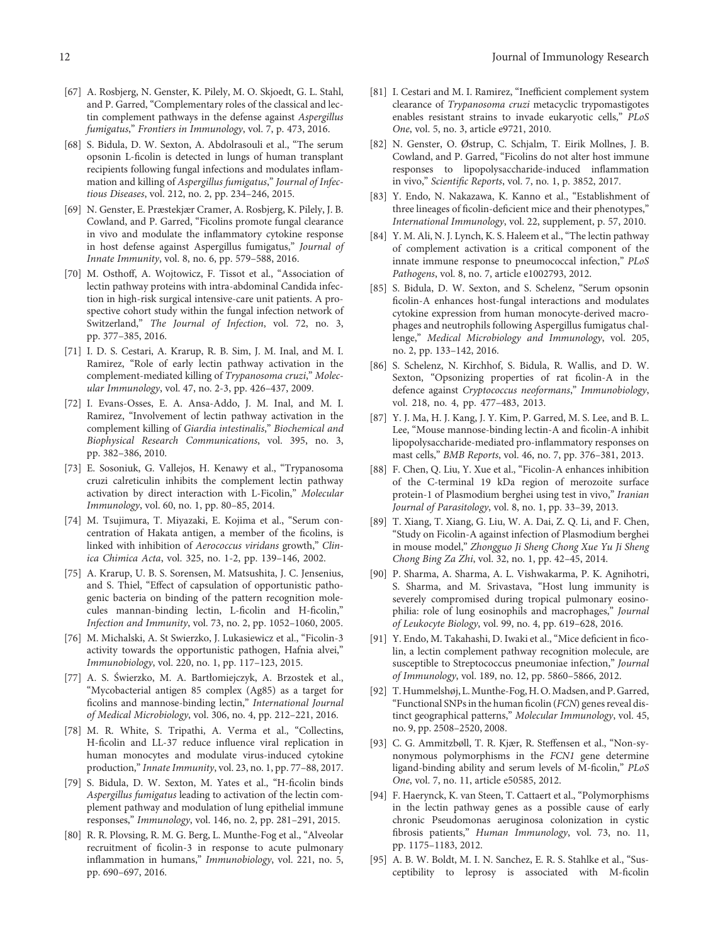- <span id="page-12-0"></span>[67] A. Rosbjerg, N. Genster, K. Pilely, M. O. Skjoedt, G. L. Stahl, and P. Garred, "Complementary roles of the classical and lectin complement pathways in the defense against Aspergillus fumigatus," Frontiers in Immunology, vol. 7, p. 473, 2016.
- [68] S. Bidula, D. W. Sexton, A. Abdolrasouli et al., "The serum opsonin L-ficolin is detected in lungs of human transplant recipients following fungal infections and modulates inflammation and killing of Aspergillus fumigatus," Journal of Infectious Diseases, vol. 212, no. 2, pp. 234–246, 2015.
- [69] N. Genster, E. Præstekjær Cramer, A. Rosbjerg, K. Pilely, J. B. Cowland, and P. Garred, "Ficolins promote fungal clearance in vivo and modulate the inflammatory cytokine response in host defense against Aspergillus fumigatus," Journal of Innate Immunity, vol. 8, no. 6, pp. 579–588, 2016.
- [70] M. Osthoff, A. Wojtowicz, F. Tissot et al., "Association of lectin pathway proteins with intra-abdominal Candida infection in high-risk surgical intensive-care unit patients. A prospective cohort study within the fungal infection network of Switzerland," The Journal of Infection, vol. 72, no. 3, pp. 377–385, 2016.
- [71] I. D. S. Cestari, A. Krarup, R. B. Sim, J. M. Inal, and M. I. Ramirez, "Role of early lectin pathway activation in the complement-mediated killing of Trypanosoma cruzi," Molecular Immunology, vol. 47, no. 2-3, pp. 426–437, 2009.
- [72] I. Evans-Osses, E. A. Ansa-Addo, J. M. Inal, and M. I. Ramirez, "Involvement of lectin pathway activation in the complement killing of Giardia intestinalis," Biochemical and Biophysical Research Communications, vol. 395, no. 3, pp. 382–386, 2010.
- [73] E. Sosoniuk, G. Vallejos, H. Kenawy et al., "Trypanosoma cruzi calreticulin inhibits the complement lectin pathway activation by direct interaction with L-Ficolin," Molecular Immunology, vol. 60, no. 1, pp. 80–85, 2014.
- [74] M. Tsujimura, T. Miyazaki, E. Kojima et al., "Serum concentration of Hakata antigen, a member of the ficolins, is linked with inhibition of Aerococcus viridans growth," Clinica Chimica Acta, vol. 325, no. 1-2, pp. 139–146, 2002.
- [75] A. Krarup, U. B. S. Sorensen, M. Matsushita, J. C. Jensenius, and S. Thiel, "Effect of capsulation of opportunistic pathogenic bacteria on binding of the pattern recognition molecules mannan-binding lectin, L-ficolin and H-ficolin," Infection and Immunity, vol. 73, no. 2, pp. 1052–1060, 2005.
- [76] M. Michalski, A. St Swierzko, J. Lukasiewicz et al., "Ficolin-3 activity towards the opportunistic pathogen, Hafnia alvei," Immunobiology, vol. 220, no. 1, pp. 117–123, 2015.
- [77] A. S. Świerzko, M. A. Bartłomiejczyk, A. Brzostek et al., "Mycobacterial antigen 85 complex (Ag85) as a target for ficolins and mannose-binding lectin," International Journal of Medical Microbiology, vol. 306, no. 4, pp. 212–221, 2016.
- [78] M. R. White, S. Tripathi, A. Verma et al., "Collectins, H-ficolin and LL-37 reduce influence viral replication in human monocytes and modulate virus-induced cytokine production,"Innate Immunity, vol. 23, no. 1, pp. 77–88, 2017.
- [79] S. Bidula, D. W. Sexton, M. Yates et al., "H-ficolin binds Aspergillus fumigatus leading to activation of the lectin complement pathway and modulation of lung epithelial immune responses," Immunology, vol. 146, no. 2, pp. 281–291, 2015.
- [80] R. R. Plovsing, R. M. G. Berg, L. Munthe-Fog et al., "Alveolar recruitment of ficolin-3 in response to acute pulmonary inflammation in humans," Immunobiology, vol. 221, no. 5, pp. 690–697, 2016.
- [81] I. Cestari and M. I. Ramirez, "Inefficient complement system clearance of Trypanosoma cruzi metacyclic trypomastigotes enables resistant strains to invade eukaryotic cells," PLoS One, vol. 5, no. 3, article e9721, 2010.
- [82] N. Genster, O. Østrup, C. Schjalm, T. Eirik Mollnes, J. B. Cowland, and P. Garred, "Ficolins do not alter host immune responses to lipopolysaccharide-induced inflammation in vivo," Scientific Reports, vol. 7, no. 1, p. 3852, 2017.
- [83] Y. Endo, N. Nakazawa, K. Kanno et al., "Establishment of three lineages of ficolin-deficient mice and their phenotypes," International Immunology, vol. 22, supplement, p. 57, 2010.
- [84] Y. M. Ali, N. J. Lynch, K. S. Haleem et al., "The lectin pathway of complement activation is a critical component of the innate immune response to pneumococcal infection," PLoS Pathogens, vol. 8, no. 7, article e1002793, 2012.
- [85] S. Bidula, D. W. Sexton, and S. Schelenz, "Serum opsonin ficolin-A enhances host-fungal interactions and modulates cytokine expression from human monocyte-derived macrophages and neutrophils following Aspergillus fumigatus challenge," Medical Microbiology and Immunology, vol. 205, no. 2, pp. 133–142, 2016.
- [86] S. Schelenz, N. Kirchhof, S. Bidula, R. Wallis, and D. W. Sexton, "Opsonizing properties of rat ficolin-A in the defence against Cryptococcus neoformans," Immunobiology, vol. 218, no. 4, pp. 477–483, 2013.
- [87] Y. J. Ma, H. J. Kang, J. Y. Kim, P. Garred, M. S. Lee, and B. L. Lee, "Mouse mannose-binding lectin-A and ficolin-A inhibit lipopolysaccharide-mediated pro-inflammatory responses on mast cells," BMB Reports, vol. 46, no. 7, pp. 376–381, 2013.
- [88] F. Chen, Q. Liu, Y. Xue et al., "Ficolin-A enhances inhibition of the C-terminal 19 kDa region of merozoite surface protein-1 of Plasmodium berghei using test in vivo," Iranian Journal of Parasitology, vol. 8, no. 1, pp. 33–39, 2013.
- [89] T. Xiang, T. Xiang, G. Liu, W. A. Dai, Z. Q. Li, and F. Chen, "Study on Ficolin-A against infection of Plasmodium berghei in mouse model," Zhongguo Ji Sheng Chong Xue Yu Ji Sheng Chong Bing Za Zhi, vol. 32, no. 1, pp. 42–45, 2014.
- [90] P. Sharma, A. Sharma, A. L. Vishwakarma, P. K. Agnihotri, S. Sharma, and M. Srivastava, "Host lung immunity is severely compromised during tropical pulmonary eosinophilia: role of lung eosinophils and macrophages," Journal of Leukocyte Biology, vol. 99, no. 4, pp. 619–628, 2016.
- [91] Y. Endo, M. Takahashi, D. Iwaki et al., "Mice deficient in ficolin, a lectin complement pathway recognition molecule, are susceptible to Streptococcus pneumoniae infection," Journal of Immunology, vol. 189, no. 12, pp. 5860–5866, 2012.
- [92] T. Hummelshøj, L. Munthe-Fog, H. O. Madsen, and P. Garred, "Functional SNPs in the human ficolin (FCN) genes reveal distinct geographical patterns," Molecular Immunology, vol. 45, no. 9, pp. 2508–2520, 2008.
- [93] C. G. Ammitzbøll, T. R. Kjær, R. Steffensen et al., "Non-synonymous polymorphisms in the FCN1 gene determine ligand-binding ability and serum levels of M-ficolin," PLoS One, vol. 7, no. 11, article e50585, 2012.
- [94] F. Haerynck, K. van Steen, T. Cattaert et al., "Polymorphisms in the lectin pathway genes as a possible cause of early chronic Pseudomonas aeruginosa colonization in cystic fibrosis patients," Human Immunology, vol. 73, no. 11, pp. 1175–1183, 2012.
- [95] A. B. W. Boldt, M. I. N. Sanchez, E. R. S. Stahlke et al., "Susceptibility to leprosy is associated with M-ficolin